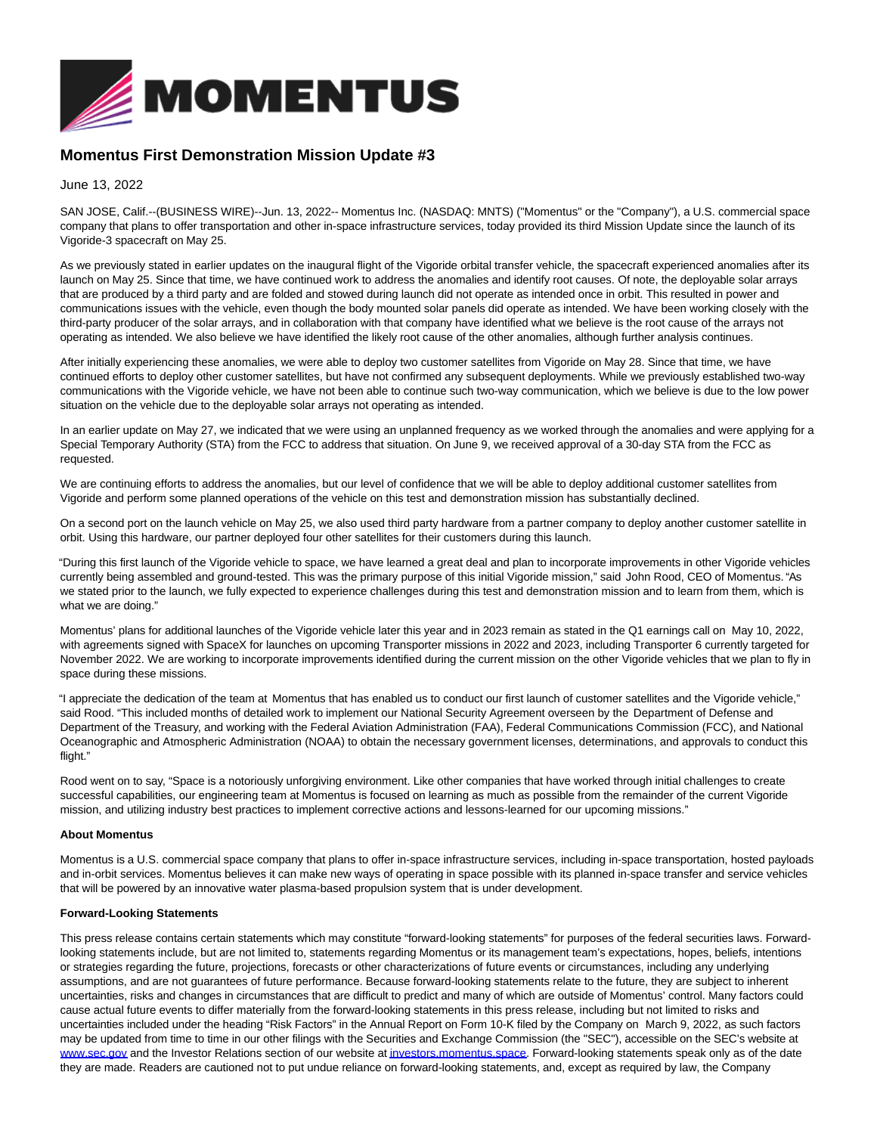

## **Momentus First Demonstration Mission Update #3**

June 13, 2022

SAN JOSE, Calif.--(BUSINESS WIRE)--Jun. 13, 2022-- Momentus Inc. (NASDAQ: MNTS) ("Momentus" or the "Company"), a U.S. commercial space company that plans to offer transportation and other in-space infrastructure services, today provided its third Mission Update since the launch of its Vigoride-3 spacecraft on May 25.

As we previously stated in earlier updates on the inaugural flight of the Vigoride orbital transfer vehicle, the spacecraft experienced anomalies after its launch on May 25. Since that time, we have continued work to address the anomalies and identify root causes. Of note, the deployable solar arrays that are produced by a third party and are folded and stowed during launch did not operate as intended once in orbit. This resulted in power and communications issues with the vehicle, even though the body mounted solar panels did operate as intended. We have been working closely with the third-party producer of the solar arrays, and in collaboration with that company have identified what we believe is the root cause of the arrays not operating as intended. We also believe we have identified the likely root cause of the other anomalies, although further analysis continues.

After initially experiencing these anomalies, we were able to deploy two customer satellites from Vigoride on May 28. Since that time, we have continued efforts to deploy other customer satellites, but have not confirmed any subsequent deployments. While we previously established two-way communications with the Vigoride vehicle, we have not been able to continue such two-way communication, which we believe is due to the low power situation on the vehicle due to the deployable solar arrays not operating as intended.

In an earlier update on May 27, we indicated that we were using an unplanned frequency as we worked through the anomalies and were applying for a Special Temporary Authority (STA) from the FCC to address that situation. On June 9, we received approval of a 30-day STA from the FCC as requested.

We are continuing efforts to address the anomalies, but our level of confidence that we will be able to deploy additional customer satellites from Vigoride and perform some planned operations of the vehicle on this test and demonstration mission has substantially declined.

On a second port on the launch vehicle on May 25, we also used third party hardware from a partner company to deploy another customer satellite in orbit. Using this hardware, our partner deployed four other satellites for their customers during this launch.

"During this first launch of the Vigoride vehicle to space, we have learned a great deal and plan to incorporate improvements in other Vigoride vehicles currently being assembled and ground-tested. This was the primary purpose of this initial Vigoride mission," said John Rood, CEO of Momentus. "As we stated prior to the launch, we fully expected to experience challenges during this test and demonstration mission and to learn from them, which is what we are doing."

Momentus' plans for additional launches of the Vigoride vehicle later this year and in 2023 remain as stated in the Q1 earnings call on May 10, 2022, with agreements signed with SpaceX for launches on upcoming Transporter missions in 2022 and 2023, including Transporter 6 currently targeted for November 2022. We are working to incorporate improvements identified during the current mission on the other Vigoride vehicles that we plan to fly in space during these missions.

"I appreciate the dedication of the team at Momentus that has enabled us to conduct our first launch of customer satellites and the Vigoride vehicle," said Rood. "This included months of detailed work to implement our National Security Agreement overseen by the Department of Defense and Department of the Treasury, and working with the Federal Aviation Administration (FAA), Federal Communications Commission (FCC), and National Oceanographic and Atmospheric Administration (NOAA) to obtain the necessary government licenses, determinations, and approvals to conduct this flight."

Rood went on to say, "Space is a notoriously unforgiving environment. Like other companies that have worked through initial challenges to create successful capabilities, our engineering team at Momentus is focused on learning as much as possible from the remainder of the current Vigoride mission, and utilizing industry best practices to implement corrective actions and lessons-learned for our upcoming missions."

## **About Momentus**

Momentus is a U.S. commercial space company that plans to offer in-space infrastructure services, including in-space transportation, hosted payloads and in-orbit services. Momentus believes it can make new ways of operating in space possible with its planned in-space transfer and service vehicles that will be powered by an innovative water plasma-based propulsion system that is under development.

## **Forward-Looking Statements**

This press release contains certain statements which may constitute "forward-looking statements" for purposes of the federal securities laws. Forwardlooking statements include, but are not limited to, statements regarding Momentus or its management team's expectations, hopes, beliefs, intentions or strategies regarding the future, projections, forecasts or other characterizations of future events or circumstances, including any underlying assumptions, and are not guarantees of future performance. Because forward-looking statements relate to the future, they are subject to inherent uncertainties, risks and changes in circumstances that are difficult to predict and many of which are outside of Momentus' control. Many factors could cause actual future events to differ materially from the forward-looking statements in this press release, including but not limited to risks and uncertainties included under the heading "Risk Factors" in the Annual Report on Form 10-K filed by the Company on March 9, 2022, as such factors may be updated from time to time in our other filings with the Securities and Exchange Commission (the "SEC"), accessible on the SEC's website at [www.sec.gov a](https://cts.businesswire.com/ct/CT?id=smartlink&url=http%3A%2F%2Fwww.sec.gov&esheet=52748429&newsitemid=20220613005786&lan=en-US&anchor=www.sec.gov&index=1&md5=660aa67b8c835d79edb035c82b47de82)nd the Investor Relations section of our website a[t investors.momentus.space.](https://cts.businesswire.com/ct/CT?id=smartlink&url=http%3A%2F%2Finvestors.momentus.space&esheet=52748429&newsitemid=20220613005786&lan=en-US&anchor=investors.momentus.space&index=2&md5=c43fcdd872029722405f0b9da05337ac) Forward-looking statements speak only as of the date they are made. Readers are cautioned not to put undue reliance on forward-looking statements, and, except as required by law, the Company